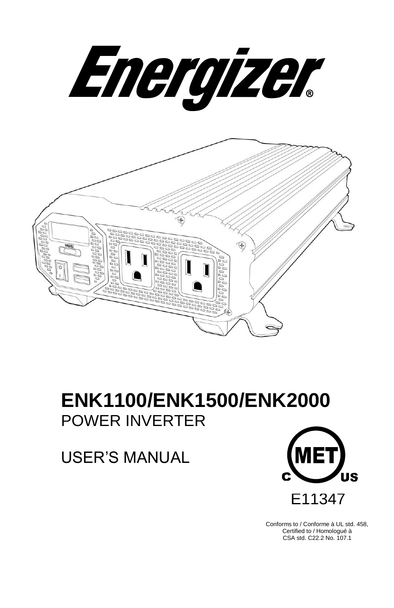Energizer



# **ENK1100/ENK1500/ENK2000** POWER INVERTER

USER'S MANUAL



9 Conforms to / Conforme à UL std. 458, Certified to / Homologué à CSA std. C22.2 No. 107.1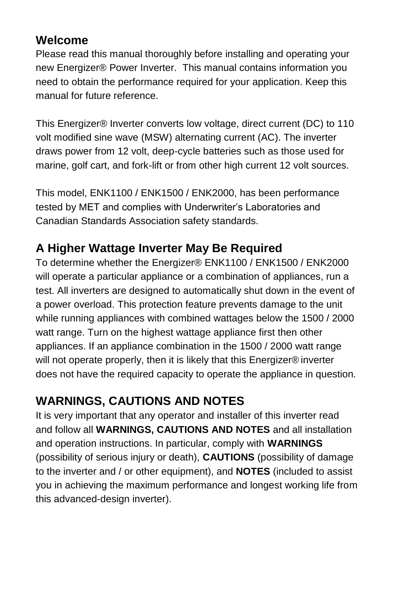# **Welcome**

Please read this manual thoroughly before installing and operating your new Energizer® Power Inverter. This manual contains information you need to obtain the performance required for your application. Keep this manual for future reference.

This Energizer® Inverter converts low voltage, direct current (DC) to 110 volt modified sine wave (MSW) alternating current (AC). The inverter draws power from 12 volt, deep-cycle batteries such as those used for marine, golf cart, and fork-lift or from other high current 12 volt sources.

This model, ENK1100 / ENK1500 / ENK2000, has been performance tested by MET and complies with Underwriter's Laboratories and Canadian Standards Association safety standards.

# **A Higher Wattage Inverter May Be Required**

To determine whether the Energizer® ENK1100 / ENK1500 / ENK2000 will operate a particular appliance or a combination of appliances, run a test. All inverters are designed to automatically shut down in the event of a power overload. This protection feature prevents damage to the unit while running appliances with combined wattages below the 1500 / 2000 watt range. Turn on the highest wattage appliance first then other appliances. If an appliance combination in the 1500 / 2000 watt range will not operate properly, then it is likely that this Energizer® inverter does not have the required capacity to operate the appliance in question.

# **WARNINGS, CAUTIONS AND NOTES**

It is very important that any operator and installer of this inverter read and follow all **WARNINGS, CAUTIONS AND NOTES** and all installation and operation instructions. In particular, comply with **WARNINGS** (possibility of serious injury or death), **CAUTIONS** (possibility of damage to the inverter and / or other equipment), and **NOTES** (included to assist you in achieving the maximum performance and longest working life from this advanced-design inverter).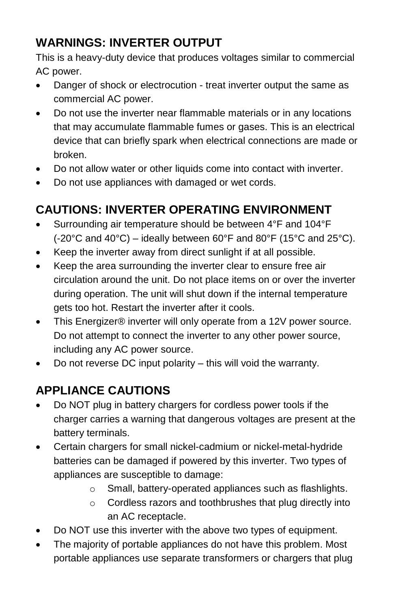# **WARNINGS: INVERTER OUTPUT**

This is a heavy-duty device that produces voltages similar to commercial AC power.

- Danger of shock or electrocution treat inverter output the same as commercial AC power.
- Do not use the inverter near flammable materials or in any locations that may accumulate flammable fumes or gases. This is an electrical device that can briefly spark when electrical connections are made or broken.
- Do not allow water or other liquids come into contact with inverter.
- Do not use appliances with damaged or wet cords.

# **CAUTIONS: INVERTER OPERATING ENVIRONMENT**

- Surrounding air temperature should be between 4°F and 104°F  $(-20^{\circ}$ C and 40°C) – ideally between 60°F and 80°F (15°C and 25°C).
- Keep the inverter away from direct sunlight if at all possible.
- Keep the area surrounding the inverter clear to ensure free air circulation around the unit. Do not place items on or over the inverter during operation. The unit will shut down if the internal temperature gets too hot. Restart the inverter after it cools.
- This Energizer® inverter will only operate from a 12V power source. Do not attempt to connect the inverter to any other power source, including any AC power source.
- Do not reverse DC input polarity this will void the warranty.

# **APPLIANCE CAUTIONS**

- Do NOT plug in battery chargers for cordless power tools if the charger carries a warning that dangerous voltages are present at the battery terminals.
- Certain chargers for small nickel-cadmium or nickel-metal-hydride batteries can be damaged if powered by this inverter. Two types of appliances are susceptible to damage:
	- o Small, battery-operated appliances such as flashlights.
	- o Cordless razors and toothbrushes that plug directly into an AC receptacle.
- Do NOT use this inverter with the above two types of equipment.
- The majority of portable appliances do not have this problem. Most portable appliances use separate transformers or chargers that plug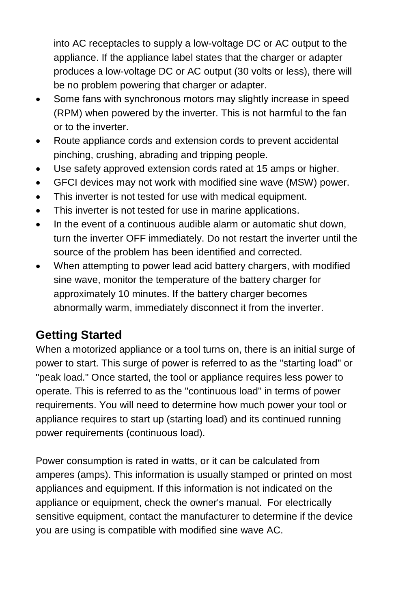into AC receptacles to supply a low-voltage DC or AC output to the appliance. If the appliance label states that the charger or adapter produces a low-voltage DC or AC output (30 volts or less), there will be no problem powering that charger or adapter.

- Some fans with synchronous motors may slightly increase in speed (RPM) when powered by the inverter. This is not harmful to the fan or to the inverter.
- Route appliance cords and extension cords to prevent accidental pinching, crushing, abrading and tripping people.
- Use safety approved extension cords rated at 15 amps or higher.
- GFCI devices may not work with modified sine wave (MSW) power.
- This inverter is not tested for use with medical equipment.
- This inverter is not tested for use in marine applications.
- In the event of a continuous audible alarm or automatic shut down, turn the inverter OFF immediately. Do not restart the inverter until the source of the problem has been identified and corrected.
- When attempting to power lead acid battery chargers, with modified sine wave, monitor the temperature of the battery charger for approximately 10 minutes. If the battery charger becomes abnormally warm, immediately disconnect it from the inverter.

# **Getting Started**

When a motorized appliance or a tool turns on, there is an initial surge of power to start. This surge of power is referred to as the "starting load" or "peak load." Once started, the tool or appliance requires less power to operate. This is referred to as the "continuous load" in terms of power requirements. You will need to determine how much power your tool or appliance requires to start up (starting load) and its continued running power requirements (continuous load).

Power consumption is rated in watts, or it can be calculated from amperes (amps). This information is usually stamped or printed on most appliances and equipment. If this information is not indicated on the appliance or equipment, check the owner's manual. For electrically sensitive equipment, contact the manufacturer to determine if the device you are using is compatible with modified sine wave AC.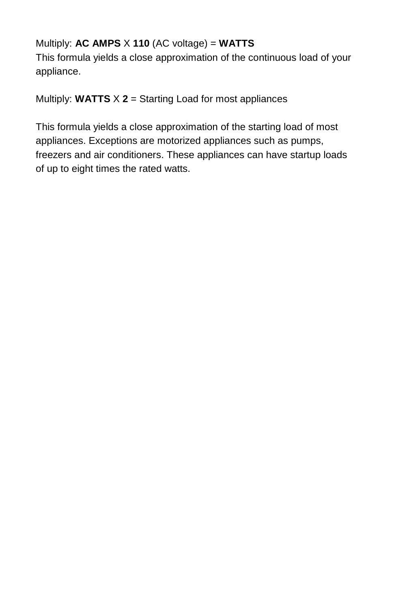#### Multiply: **AC AMPS** X **110** (AC voltage) = **WATTS**

This formula yields a close approximation of the continuous load of your appliance.

Multiply: **WATTS** X **2** = Starting Load for most appliances

This formula yields a close approximation of the starting load of most appliances. Exceptions are motorized appliances such as pumps, freezers and air conditioners. These appliances can have startup loads of up to eight times the rated watts.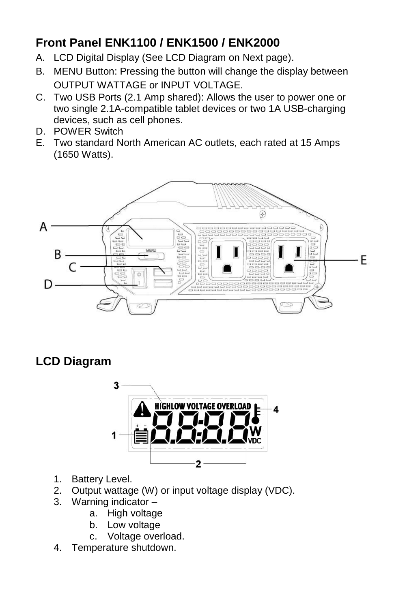# **Front Panel ENK1100 / ENK1500 / ENK2000**

- A. LCD Digital Display (See LCD Diagram on Next page).
- B. MENU Button: Pressing the button will change the display between OUTPUT WATTAGE or INPUT VOLTAGE.
- C. Two USB Ports (2.1 Amp shared): Allows the user to power one or two single 2.1A-compatible tablet devices or two 1A USB-charging devices, such as cell phones.
- D. POWER Switch
- E. Two standard North American AC outlets, each rated at 15 Amps (1650 Watts).



# **LCD Diagram**



- 1. Battery Level.
- 2. Output wattage (W) or input voltage display (VDC).
- 3. Warning indicator
	- a. High voltage
	- b. Low voltage
	- c. Voltage overload.
- 4. Temperature shutdown.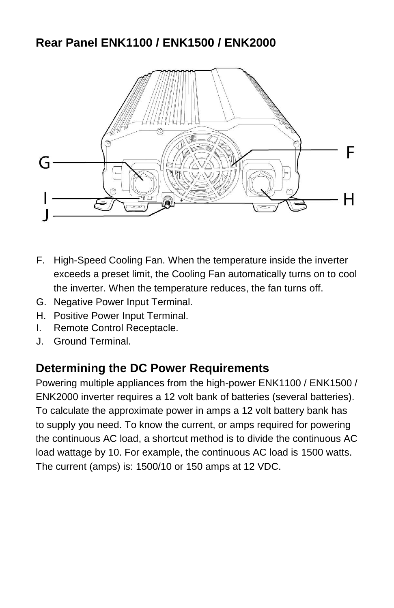# **Rear Panel ENK1100 / ENK1500 / ENK2000**



- F. High-Speed Cooling Fan. When the temperature inside the inverter exceeds a preset limit, the Cooling Fan automatically turns on to cool the inverter. When the temperature reduces, the fan turns off.
- G. Negative Power Input Terminal.
- H. Positive Power Input Terminal.
- I. Remote Control Receptacle.
- J. Ground Terminal.

## **Determining the DC Power Requirements**

Powering multiple appliances from the high-power ENK1100 / ENK1500 / ENK2000 inverter requires a 12 volt bank of batteries (several batteries). To calculate the approximate power in amps a 12 volt battery bank has to supply you need. To know the current, or amps required for powering the continuous AC load, a shortcut method is to divide the continuous AC load wattage by 10. For example, the continuous AC load is 1500 watts. The current (amps) is: 1500/10 or 150 amps at 12 VDC.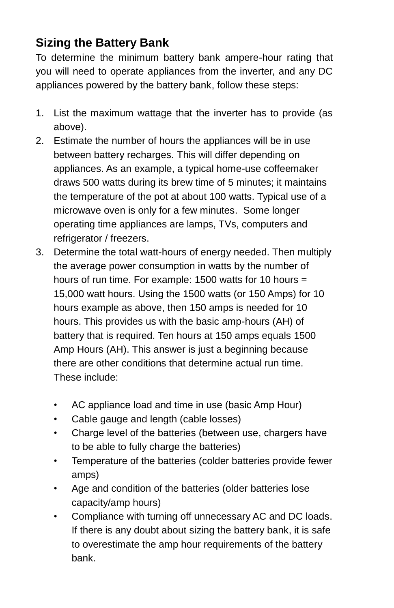# **Sizing the Battery Bank**

To determine the minimum battery bank ampere-hour rating that you will need to operate appliances from the inverter, and any DC appliances powered by the battery bank, follow these steps:

- 1. List the maximum wattage that the inverter has to provide (as above).
- 2. Estimate the number of hours the appliances will be in use between battery recharges. This will differ depending on appliances. As an example, a typical home-use coffeemaker draws 500 watts during its brew time of 5 minutes; it maintains the temperature of the pot at about 100 watts. Typical use of a microwave oven is only for a few minutes. Some longer operating time appliances are lamps, TVs, computers and refrigerator / freezers.
- 3. Determine the total watt-hours of energy needed. Then multiply the average power consumption in watts by the number of hours of run time. For example: 1500 watts for 10 hours = 15,000 watt hours. Using the 1500 watts (or 150 Amps) for 10 hours example as above, then 150 amps is needed for 10 hours. This provides us with the basic amp-hours (AH) of battery that is required. Ten hours at 150 amps equals 1500 Amp Hours (AH). This answer is just a beginning because there are other conditions that determine actual run time. These include:
	- AC appliance load and time in use (basic Amp Hour)
	- Cable gauge and length (cable losses)
	- Charge level of the batteries (between use, chargers have to be able to fully charge the batteries)
	- Temperature of the batteries (colder batteries provide fewer amps)
	- Age and condition of the batteries (older batteries lose capacity/amp hours)
	- Compliance with turning off unnecessary AC and DC loads. If there is any doubt about sizing the battery bank, it is safe to overestimate the amp hour requirements of the battery bank.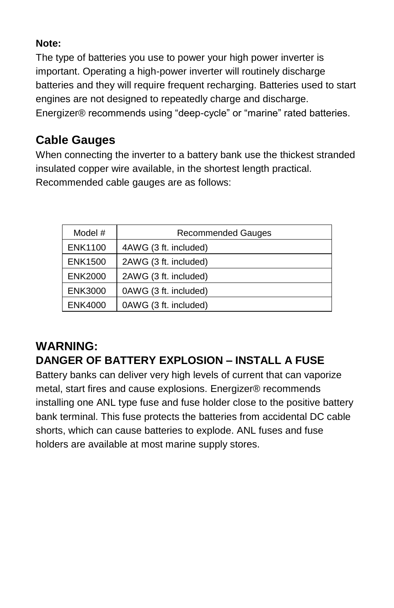#### **Note:**

The type of batteries you use to power your high power inverter is important. Operating a high-power inverter will routinely discharge batteries and they will require frequent recharging. Batteries used to start engines are not designed to repeatedly charge and discharge. Energizer® recommends using "deep-cycle" or "marine" rated batteries.

# **Cable Gauges**

When connecting the inverter to a battery bank use the thickest stranded insulated copper wire available, in the shortest length practical. Recommended cable gauges are as follows:

| Model #        | <b>Recommended Gauges</b> |
|----------------|---------------------------|
| <b>ENK1100</b> | 4AWG (3 ft. included)     |
| <b>ENK1500</b> | 2AWG (3 ft. included)     |
| <b>ENK2000</b> | 2AWG (3 ft. included)     |
| <b>ENK3000</b> | 0AWG (3 ft. included)     |
| <b>ENK4000</b> | 0AWG (3 ft. included)     |

## **WARNING: DANGER OF BATTERY EXPLOSION – INSTALL A FUSE**

Battery banks can deliver very high levels of current that can vaporize metal, start fires and cause explosions. Energizer® recommends installing one ANL type fuse and fuse holder close to the positive battery bank terminal. This fuse protects the batteries from accidental DC cable shorts, which can cause batteries to explode. ANL fuses and fuse holders are available at most marine supply stores.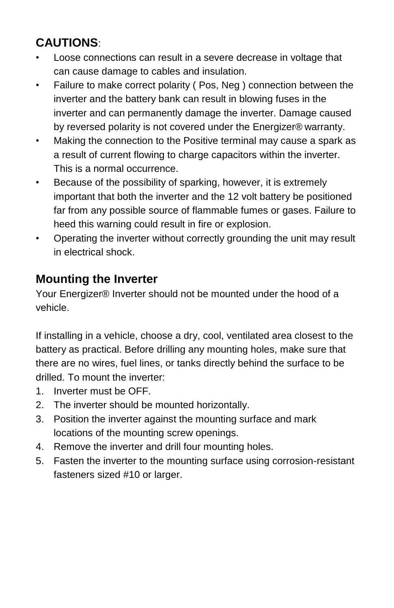# **CAUTIONS**:

- Loose connections can result in a severe decrease in voltage that can cause damage to cables and insulation.
- Failure to make correct polarity ( Pos, Neg ) connection between the inverter and the battery bank can result in blowing fuses in the inverter and can permanently damage the inverter. Damage caused by reversed polarity is not covered under the Energizer® warranty.
- Making the connection to the Positive terminal may cause a spark as a result of current flowing to charge capacitors within the inverter. This is a normal occurrence.
- Because of the possibility of sparking, however, it is extremely important that both the inverter and the 12 volt battery be positioned far from any possible source of flammable fumes or gases. Failure to heed this warning could result in fire or explosion.
- Operating the inverter without correctly grounding the unit may result in electrical shock.

# **Mounting the Inverter**

Your Energizer® Inverter should not be mounted under the hood of a vehicle.

If installing in a vehicle, choose a dry, cool, ventilated area closest to the battery as practical. Before drilling any mounting holes, make sure that there are no wires, fuel lines, or tanks directly behind the surface to be drilled. To mount the inverter:

- 1. Inverter must be OFF.
- 2. The inverter should be mounted horizontally.
- 3. Position the inverter against the mounting surface and mark locations of the mounting screw openings.
- 4. Remove the inverter and drill four mounting holes.
- 5. Fasten the inverter to the mounting surface using corrosion-resistant fasteners sized #10 or larger.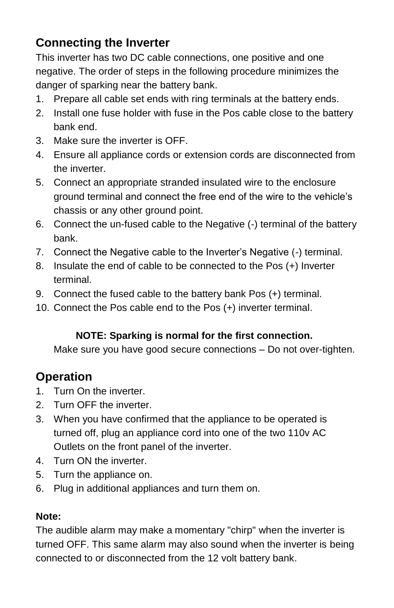# **Connecting the Inverter**

This inverter has two DC cable connections, one positive and one negative. The order of steps in the following procedure minimizes the danger of sparking near the battery bank.

- 1. Prepare all cable set ends with ring terminals at the battery ends.
- 2. Install one fuse holder with fuse in the Pos cable close to the battery bank end.
- 3. Make sure the inverter is OFF.
- 4. Ensure all appliance cords or extension cords are disconnected from the inverter.
- 5. Connect an appropriate stranded insulated wire to the enclosure ground terminal and connect the free end of the wire to the vehicle's chassis or any other ground point.
- 6. Connect the un-fused cable to the Negative (-) terminal of the battery bank.
- 7. Connect the Negative cable to the Inverter's Negative (-) terminal.
- 8. Insulate the end of cable to be connected to the Pos (+) Inverter terminal.
- 9. Connect the fused cable to the battery bank Pos (+) terminal.
- 10. Connect the Pos cable end to the Pos (+) inverter terminal.

### **NOTE: Sparking is normal for the first connection.**

Make sure you have good secure connections – Do not over-tighten.

# **Operation**

- 1. Turn On the inverter.
- 2 Turn OFF the inverter
- 3. When you have confirmed that the appliance to be operated is turned off, plug an appliance cord into one of the two 110v AC Outlets on the front panel of the inverter.
- 4. Turn ON the inverter.
- 5. Turn the appliance on.
- 6. Plug in additional appliances and turn them on.

#### **Note:**

The audible alarm may make a momentary "chirp" when the inverter is turned OFF. This same alarm may also sound when the inverter is being connected to or disconnected from the 12 volt battery bank.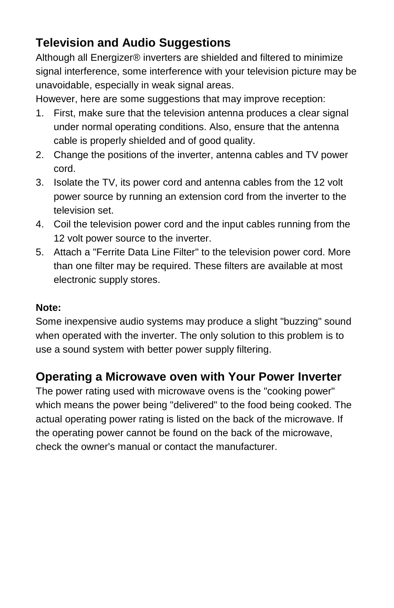# **Television and Audio Suggestions**

Although all Energizer® inverters are shielded and filtered to minimize signal interference, some interference with your television picture may be unavoidable, especially in weak signal areas.

However, here are some suggestions that may improve reception:

- 1. First, make sure that the television antenna produces a clear signal under normal operating conditions. Also, ensure that the antenna cable is properly shielded and of good quality.
- 2. Change the positions of the inverter, antenna cables and TV power cord.
- 3. Isolate the TV, its power cord and antenna cables from the 12 volt power source by running an extension cord from the inverter to the television set.
- 4. Coil the television power cord and the input cables running from the 12 volt power source to the inverter.
- 5. Attach a "Ferrite Data Line Filter" to the television power cord. More than one filter may be required. These filters are available at most electronic supply stores.

#### **Note:**

Some inexpensive audio systems may produce a slight "buzzing" sound when operated with the inverter. The only solution to this problem is to use a sound system with better power supply filtering.

## **Operating a Microwave oven with Your Power Inverter**

The power rating used with microwave ovens is the "cooking power" which means the power being "delivered" to the food being cooked. The actual operating power rating is listed on the back of the microwave. If the operating power cannot be found on the back of the microwave, check the owner's manual or contact the manufacturer.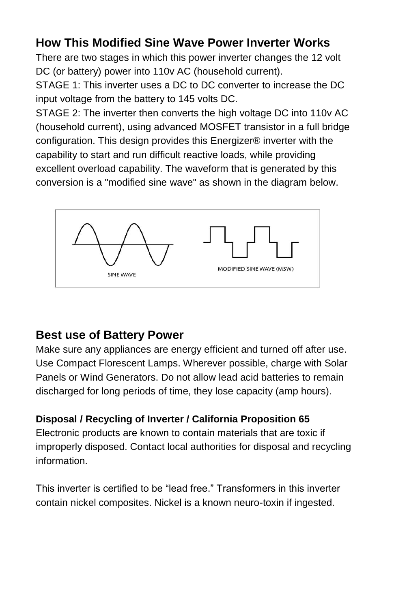# **How This Modified Sine Wave Power Inverter Works**

There are two stages in which this power inverter changes the 12 volt DC (or battery) power into 110v AC (household current).

STAGE 1: This inverter uses a DC to DC converter to increase the DC input voltage from the battery to 145 volts DC.

STAGE 2: The inverter then converts the high voltage DC into 110v AC (household current), using advanced MOSFET transistor in a full bridge configuration. This design provides this Energizer® inverter with the capability to start and run difficult reactive loads, while providing excellent overload capability. The waveform that is generated by this conversion is a "modified sine wave" as shown in the diagram below.



## **Best use of Battery Power**

Make sure any appliances are energy efficient and turned off after use. Use Compact Florescent Lamps. Wherever possible, charge with Solar Panels or Wind Generators. Do not allow lead acid batteries to remain discharged for long periods of time, they lose capacity (amp hours).

#### **Disposal / Recycling of Inverter / California Proposition 65**

Electronic products are known to contain materials that are toxic if improperly disposed. Contact local authorities for disposal and recycling information.

This inverter is certified to be "lead free." Transformers in this inverter contain nickel composites. Nickel is a known neuro-toxin if ingested.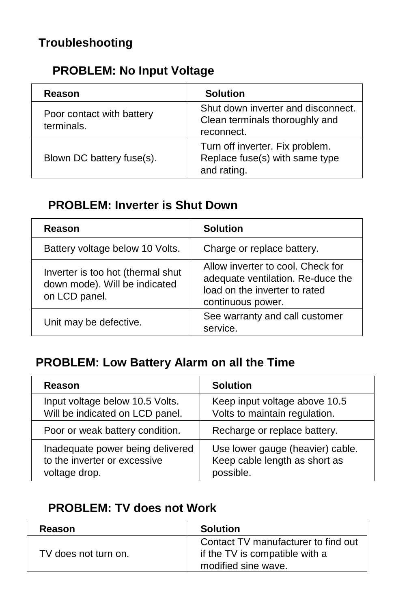# **PROBLEM: No Input Voltage**

| Reason                                  | <b>Solution</b>                                                                    |
|-----------------------------------------|------------------------------------------------------------------------------------|
| Poor contact with battery<br>terminals. | Shut down inverter and disconnect.<br>Clean terminals thoroughly and<br>reconnect. |
| Blown DC battery fuse(s).               | Turn off inverter. Fix problem.<br>Replace fuse(s) with same type<br>and rating.   |

# **PROBLEM: Inverter is Shut Down**

| Reason                                                                              | <b>Solution</b>                                                                                                              |
|-------------------------------------------------------------------------------------|------------------------------------------------------------------------------------------------------------------------------|
| Battery voltage below 10 Volts.                                                     | Charge or replace battery.                                                                                                   |
| Inverter is too hot (thermal shut<br>down mode). Will be indicated<br>on LCD panel. | Allow inverter to cool. Check for<br>adequate ventilation. Re-duce the<br>load on the inverter to rated<br>continuous power. |
| Unit may be defective.                                                              | See warranty and call customer<br>service.                                                                                   |

# **PROBLEM: Low Battery Alarm on all the Time**

| Reason                           | <b>Solution</b>                  |
|----------------------------------|----------------------------------|
| Input voltage below 10.5 Volts.  | Keep input voltage above 10.5    |
| Will be indicated on LCD panel.  | Volts to maintain regulation.    |
| Poor or weak battery condition.  | Recharge or replace battery.     |
| Inadequate power being delivered | Use lower gauge (heavier) cable. |
| to the inverter or excessive     | Keep cable length as short as    |
| voltage drop.                    | possible.                        |

## **PROBLEM: TV does not Work**

| <b>Reason</b>        | <b>Solution</b>                                                                              |
|----------------------|----------------------------------------------------------------------------------------------|
| TV does not turn on. | Contact TV manufacturer to find out<br>if the TV is compatible with a<br>modified sine wave. |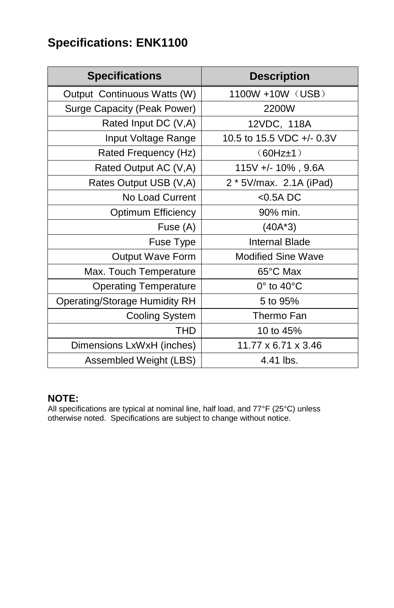# **Specifications: ENK1100**

| <b>Specifications</b>                | <b>Description</b>        |
|--------------------------------------|---------------------------|
| Output Continuous Watts (W)          | 1100W +10W (USB)          |
| Surge Capacity (Peak Power)          | 2200W                     |
| Rated Input DC (V,A)                 | 12VDC, 118A               |
| Input Voltage Range                  | 10.5 to 15.5 VDC +/- 0.3V |
| Rated Frequency (Hz)                 | $(60Hz \pm 1)$            |
| Rated Output AC (V,A)                | 115V +/- 10%, 9.6A        |
| Rates Output USB (V,A)               | 2 * 5V/max. 2.1A (iPad)   |
| No Load Current                      | $<$ 0.5A DC               |
| <b>Optimum Efficiency</b>            | 90% min.                  |
| Fuse (A)                             | $(40A*3)$                 |
| Fuse Type                            | <b>Internal Blade</b>     |
| <b>Output Wave Form</b>              | <b>Modified Sine Wave</b> |
| Max. Touch Temperature               | 65°C Max                  |
| <b>Operating Temperature</b>         | $0^\circ$ to $40^\circ$ C |
| <b>Operating/Storage Humidity RH</b> | 5 to 95%                  |
| <b>Cooling System</b>                | Thermo Fan                |
| <b>THD</b>                           | 10 to 45%                 |
| Dimensions LxWxH (inches)            | 11.77 x 6.71 x 3.46       |
| Assembled Weight (LBS)               | 4.41 lbs.                 |

#### **NOTE:**

All specifications are typical at nominal line, half load, and 77°F (25°C) unless otherwise noted. Specifications are subject to change without notice.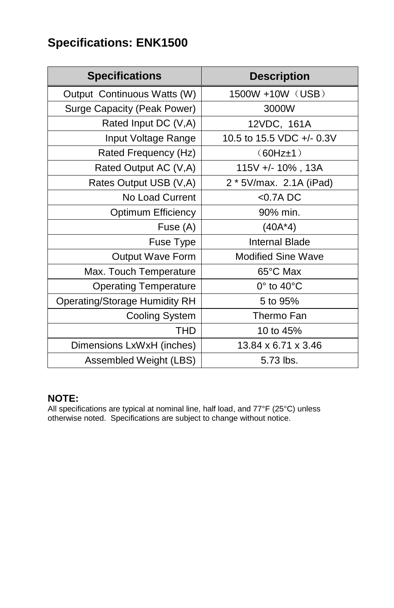# **Specifications: ENK1500**

| <b>Specifications</b>                | <b>Description</b>        |
|--------------------------------------|---------------------------|
| Output Continuous Watts (W)          | 1500W +10W (USB)          |
| Surge Capacity (Peak Power)          | 3000W                     |
| Rated Input DC (V,A)                 | 12VDC, 161A               |
| Input Voltage Range                  | 10.5 to 15.5 VDC +/- 0.3V |
| Rated Frequency (Hz)                 | $(60Hz \pm 1)$            |
| Rated Output AC (V,A)                | 115V +/- 10%, 13A         |
| Rates Output USB (V,A)               | 2 * 5V/max. 2.1A (iPad)   |
| No Load Current                      | $<$ 0.7A DC               |
| <b>Optimum Efficiency</b>            | 90% min.                  |
| Fuse (A)                             | $(40A*4)$                 |
| Fuse Type                            | <b>Internal Blade</b>     |
| <b>Output Wave Form</b>              | <b>Modified Sine Wave</b> |
| Max. Touch Temperature               | 65°C Max                  |
| <b>Operating Temperature</b>         | $0^\circ$ to $40^\circ$ C |
| <b>Operating/Storage Humidity RH</b> | 5 to 95%                  |
| <b>Cooling System</b>                | Thermo Fan                |
| <b>THD</b>                           | 10 to 45%                 |
| Dimensions LxWxH (inches)            | 13.84 x 6.71 x 3.46       |
| Assembled Weight (LBS)               | 5.73 lbs.                 |

#### **NOTE:**

All specifications are typical at nominal line, half load, and 77°F (25°C) unless otherwise noted. Specifications are subject to change without notice.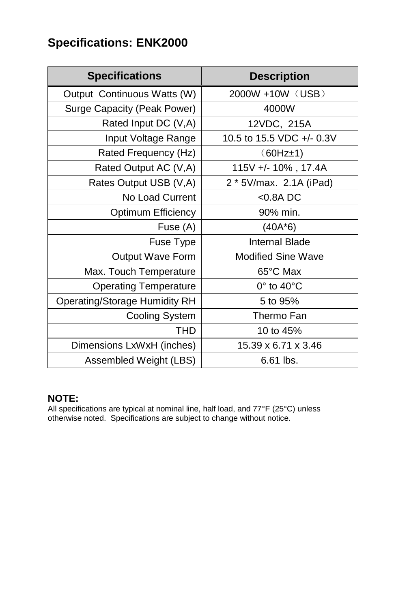# **Specifications: ENK2000**

| <b>Specifications</b>                | <b>Description</b>         |
|--------------------------------------|----------------------------|
| Output Continuous Watts (W)          | 2000W +10W (USB)           |
| Surge Capacity (Peak Power)          | 4000W                      |
| Rated Input DC (V,A)                 | 12VDC, 215A                |
| Input Voltage Range                  | 10.5 to 15.5 VDC +/- 0.3V  |
| Rated Frequency (Hz)                 | $(60Hz \pm 1)$             |
| Rated Output AC (V,A)                | 115V +/- 10%, 17.4A        |
| Rates Output USB (V,A)               | 2 * 5V/max. 2.1A (iPad)    |
| No Load Current                      | $<$ 0.8A DC                |
| <b>Optimum Efficiency</b>            | 90% min.                   |
| Fuse (A)                             | $(40A*6)$                  |
| Fuse Type                            | <b>Internal Blade</b>      |
| <b>Output Wave Form</b>              | <b>Modified Sine Wave</b>  |
| Max. Touch Temperature               | 65°C Max                   |
| <b>Operating Temperature</b>         | $0^\circ$ to 40 $^\circ$ C |
| <b>Operating/Storage Humidity RH</b> | 5 to 95%                   |
| <b>Cooling System</b>                | Thermo Fan                 |
| <b>THD</b>                           | 10 to 45%                  |
| Dimensions LxWxH (inches)            | 15.39 x 6.71 x 3.46        |
| Assembled Weight (LBS)               | 6.61 lbs.                  |

#### **NOTE:**

All specifications are typical at nominal line, half load, and 77°F (25°C) unless otherwise noted. Specifications are subject to change without notice.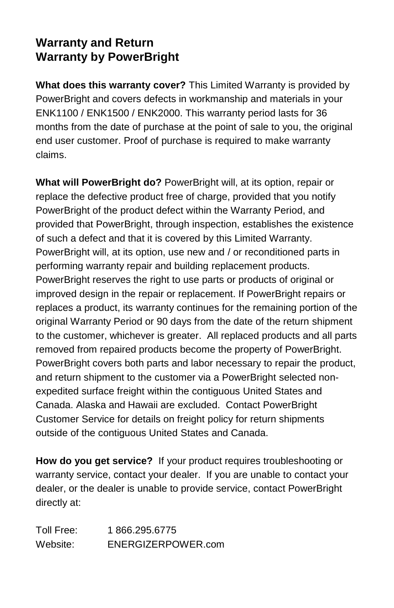## **Warranty and Return Warranty by PowerBright**

**What does this warranty cover?** This Limited Warranty is provided by PowerBright and covers defects in workmanship and materials in your ENK1100 / ENK1500 / ENK2000. This warranty period lasts for 36 months from the date of purchase at the point of sale to you, the original end user customer. Proof of purchase is required to make warranty claims.

**What will PowerBright do?** PowerBright will, at its option, repair or replace the defective product free of charge, provided that you notify PowerBright of the product defect within the Warranty Period, and provided that PowerBright, through inspection, establishes the existence of such a defect and that it is covered by this Limited Warranty. PowerBright will, at its option, use new and / or reconditioned parts in performing warranty repair and building replacement products. PowerBright reserves the right to use parts or products of original or improved design in the repair or replacement. If PowerBright repairs or replaces a product, its warranty continues for the remaining portion of the original Warranty Period or 90 days from the date of the return shipment to the customer, whichever is greater. All replaced products and all parts removed from repaired products become the property of PowerBright. PowerBright covers both parts and labor necessary to repair the product, and return shipment to the customer via a PowerBright selected nonexpedited surface freight within the contiguous United States and Canada. Alaska and Hawaii are excluded. Contact PowerBright Customer Service for details on freight policy for return shipments outside of the contiguous United States and Canada.

**How do you get service?** If your product requires troubleshooting or warranty service, contact your dealer. If you are unable to contact your dealer, or the dealer is unable to provide service, contact PowerBright directly at:

Toll Free: 1 866.295.6775 Website: ENERGIZERPOWER.com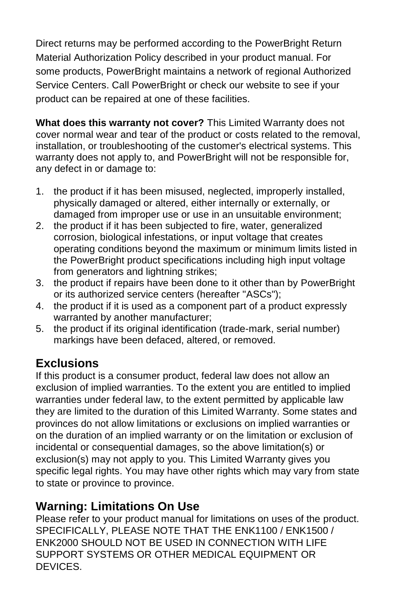Direct returns may be performed according to the PowerBright Return Material Authorization Policy described in your product manual. For some products, PowerBright maintains a network of regional Authorized Service Centers. Call PowerBright or check our website to see if your product can be repaired at one of these facilities.

**What does this warranty not cover?** This Limited Warranty does not cover normal wear and tear of the product or costs related to the removal, installation, or troubleshooting of the customer's electrical systems. This warranty does not apply to, and PowerBright will not be responsible for, any defect in or damage to:

- 1. the product if it has been misused, neglected, improperly installed, physically damaged or altered, either internally or externally, or damaged from improper use or use in an unsuitable environment;
- 2. the product if it has been subjected to fire, water, generalized corrosion, biological infestations, or input voltage that creates operating conditions beyond the maximum or minimum limits listed in the PowerBright product specifications including high input voltage from generators and lightning strikes:
- 3. the product if repairs have been done to it other than by PowerBright or its authorized service centers (hereafter "ASCs");
- 4. the product if it is used as a component part of a product expressly warranted by another manufacturer;
- 5. the product if its original identification (trade-mark, serial number) markings have been defaced, altered, or removed.

# **Exclusions**

If this product is a consumer product, federal law does not allow an exclusion of implied warranties. To the extent you are entitled to implied warranties under federal law, to the extent permitted by applicable law they are limited to the duration of this Limited Warranty. Some states and provinces do not allow limitations or exclusions on implied warranties or on the duration of an implied warranty or on the limitation or exclusion of incidental or consequential damages, so the above limitation(s) or exclusion(s) may not apply to you. This Limited Warranty gives you specific legal rights. You may have other rights which may vary from state to state or province to province.

## **Warning: Limitations On Use**

Please refer to your product manual for limitations on uses of the product. SPECIFICALLY, PLEASE NOTE THAT THE ENK1100 / ENK1500 / ENK2000 SHOULD NOT BE USED IN CONNECTION WITH LIFE SUPPORT SYSTEMS OR OTHER MEDICAL EQUIPMENT OR DEVICES.